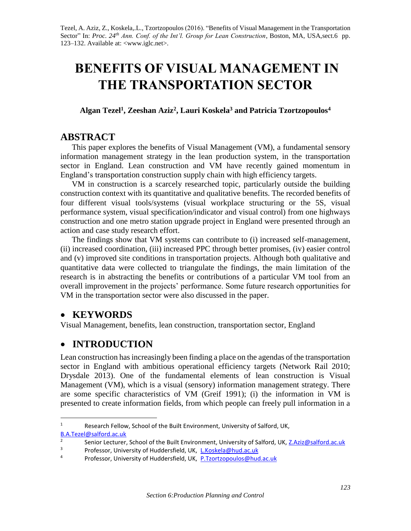Tezel, A. Aziz, Z., Koskela,.L., Tzortzopoulos (2016). "Benefits of Visual Management in the Transportation Sector" In: *Proc. 24<sup>th</sup> Ann. Conf. of the Int'l. Group for Lean Construction*, Boston, MA, USA, sect.6 pp. 123–132. Available at: <www.iglc.net>.

# **BENEFITS OF VISUAL MANAGEMENT IN THE TRANSPORTATION SECTOR**

**Algan Tezel<sup>1</sup> , Zeeshan Aziz<sup>2</sup> , Lauri Koskela<sup>3</sup> and Patricia Tzortzopoulos<sup>4</sup>**

## **ABSTRACT**

This paper explores the benefits of Visual Management (VM), a fundamental sensory information management strategy in the lean production system, in the transportation sector in England. Lean construction and VM have recently gained momentum in England's transportation construction supply chain with high efficiency targets.

VM in construction is a scarcely researched topic, particularly outside the building construction context with its quantitative and qualitative benefits. The recorded benefits of four different visual tools/systems (visual workplace structuring or the 5S, visual performance system, visual specification/indicator and visual control) from one highways construction and one metro station upgrade project in England were presented through an action and case study research effort.

The findings show that VM systems can contribute to (i) increased self-management, (ii) increased coordination, (iii) increased PPC through better promises, (iv) easier control and (v) improved site conditions in transportation projects. Although both qualitative and quantitative data were collected to triangulate the findings, the main limitation of the research is in abstracting the benefits or contributions of a particular VM tool from an overall improvement in the projects' performance. Some future research opportunities for VM in the transportation sector were also discussed in the paper.

## **KEYWORDS**

 $\overline{a}$ 

Visual Management, benefits, lean construction, transportation sector, England

# **INTRODUCTION**

Lean construction has increasingly been finding a place on the agendas of the transportation sector in England with ambitious operational efficiency targets (Network Rail 2010; Drysdale 2013). One of the fundamental elements of lean construction is Visual Management (VM), which is a visual (sensory) information management strategy. There are some specific characteristics of VM (Greif 1991); (i) the information in VM is presented to create information fields, from which people can freely pull information in a

<sup>&</sup>lt;sup>1</sup> Research Fellow, School of the Built Environment, University of Salford, UK, [B.A.Tezel@salford.ac.uk](mailto:B.A.Tezel@salford.ac.uk)

<sup>2</sup> Senior Lecturer, School of the Built Environment, University of Salford, UK, [Z.Aziz@salford.ac.uk](mailto:Z.Aziz@salford.ac.uk) <sup>3</sup> Professor, University of Huddersfield, UK, <u>[L.Koskela@hud.ac.uk](mailto:L.Koskela@hud.ac.uk)</u><br><sup>4</sup> Professor, University of Huddersfield, UK, <u>B.Tzortzopoulos@hud</u>

Professor, University of Huddersfield, UK, [P.Tzortzopoulos@hud.ac.uk](mailto:P.Tzortzopoulos@hud.ac.uk)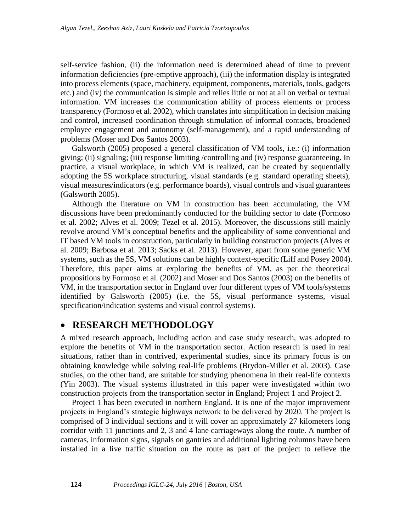self-service fashion, (ii) the information need is determined ahead of time to prevent information deficiencies (pre-emptive approach), (iii) the information display is integrated into process elements (space, machinery, equipment, components, materials, tools, gadgets etc.) and (iv) the communication is simple and relies little or not at all on verbal or textual information. VM increases the communication ability of process elements or process transparency (Formoso et al. 2002), which translates into simplification in decision making and control, increased coordination through stimulation of informal contacts, broadened employee engagement and autonomy (self-management), and a rapid understanding of problems (Moser and Dos Santos 2003).

Galsworth (2005) proposed a general classification of VM tools, i.e.: (i) information giving; (ii) signaling; (iii) response limiting /controlling and (iv) response guaranteeing. In practice, a visual workplace, in which VM is realized, can be created by sequentially adopting the 5S workplace structuring, visual standards (e.g. standard operating sheets), visual measures/indicators (e.g. performance boards), visual controls and visual guarantees (Galsworth 2005).

Although the literature on VM in construction has been accumulating, the VM discussions have been predominantly conducted for the building sector to date (Formoso et al. 2002; Alves et al. 2009; Tezel et al. 2015). Moreover, the discussions still mainly revolve around VM's conceptual benefits and the applicability of some conventional and IT based VM tools in construction, particularly in building construction projects (Alves et al. 2009; Barbosa et al. 2013; Sacks et al. 2013). However, apart from some generic VM systems, such as the 5S, VM solutions can be highly context-specific (Liff and Posey 2004). Therefore, this paper aims at exploring the benefits of VM, as per the theoretical propositions by Formoso et al. (2002) and Moser and Dos Santos (2003) on the benefits of VM, in the transportation sector in England over four different types of VM tools/systems identified by Galsworth (2005) (i.e. the 5S, visual performance systems, visual specification/indication systems and visual control systems).

## **RESEARCH METHODOLOGY**

A mixed research approach, including action and case study research, was adopted to explore the benefits of VM in the transportation sector. Action research is used in real situations, rather than in contrived, experimental studies, since its primary focus is on obtaining knowledge while solving real-life problems (Brydon-Miller et al. 2003). Case studies, on the other hand, are suitable for studying phenomena in their real-life contexts (Yin 2003). The visual systems illustrated in this paper were investigated within two construction projects from the transportation sector in England; Project 1 and Project 2.

Project 1 has been executed in northern England. It is one of the major improvement projects in England's strategic highways network to be delivered by 2020. The project is comprised of 3 individual sections and it will cover an approximately 27 kilometers long corridor with 11 junctions and 2, 3 and 4 lane carriageways along the route. A number of cameras, information signs, signals on gantries and additional lighting columns have been installed in a live traffic situation on the route as part of the project to relieve the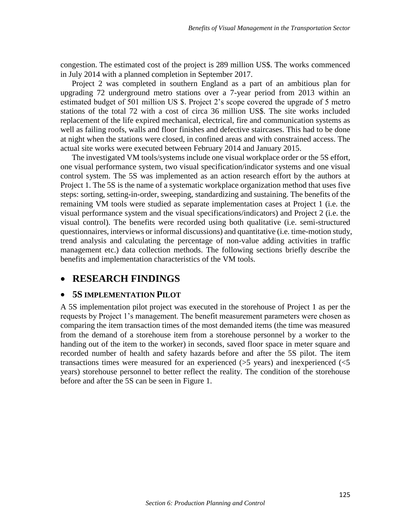congestion. The estimated cost of the project is 289 million US\$. The works commenced in July 2014 with a planned completion in September 2017.

Project 2 was completed in southern England as a part of an ambitious plan for upgrading 72 underground metro stations over a 7-year period from 2013 within an estimated budget of 501 million US \$. Project 2's scope covered the upgrade of 5 metro stations of the total 72 with a cost of circa 36 million US\$. The site works included replacement of the life expired mechanical, electrical, fire and communication systems as well as failing roofs, walls and floor finishes and defective staircases. This had to be done at night when the stations were closed, in confined areas and with constrained access. The actual site works were executed between February 2014 and January 2015.

The investigated VM tools/systems include one visual workplace order or the 5S effort, one visual performance system, two visual specification/indicator systems and one visual control system. The 5S was implemented as an action research effort by the authors at Project 1. The 5S is the name of a systematic workplace organization method that uses five steps: sorting, setting-in-order, sweeping, standardizing and sustaining. The benefits of the remaining VM tools were studied as separate implementation cases at Project 1 (i.e. the visual performance system and the visual specifications/indicators) and Project 2 (i.e. the visual control). The benefits were recorded using both qualitative (i.e. semi-structured questionnaires, interviews or informal discussions) and quantitative (i.e. time-motion study, trend analysis and calculating the percentage of non-value adding activities in traffic management etc.) data collection methods. The following sections briefly describe the benefits and implementation characteristics of the VM tools.

## **RESEARCH FINDINGS**

#### **5S IMPLEMENTATION PILOT**

A 5S implementation pilot project was executed in the storehouse of Project 1 as per the requests by Project 1's management. The benefit measurement parameters were chosen as comparing the item transaction times of the most demanded items (the time was measured from the demand of a storehouse item from a storehouse personnel by a worker to the handing out of the item to the worker) in seconds, saved floor space in meter square and recorded number of health and safety hazards before and after the 5S pilot. The item transactions times were measured for an experienced  $(5 \text{ years})$  and inexperienced  $(5 \text{ years})$ years) storehouse personnel to better reflect the reality. The condition of the storehouse before and after the 5S can be seen in Figure 1.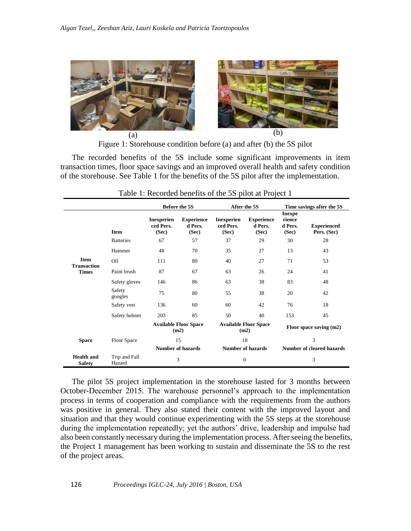

Figure 1: Storehouse condition before (a) and after (b) the 5S pilot

The recorded benefits of the 5S include some significant improvements in item transaction times, floor space savings and an improved overall health and safety condition of the storehouse. See Table 1 for the benefits of the 5S pilot after the implementation.

|                                                   |                         | <b>Before the 5S</b>                    |                                       | After the 5S                            |                                       | Time savings after the 5S                   |                                   |
|---------------------------------------------------|-------------------------|-----------------------------------------|---------------------------------------|-----------------------------------------|---------------------------------------|---------------------------------------------|-----------------------------------|
|                                                   | <b>Item</b>             | <b>Inexperien</b><br>ced Pers.<br>(Sec) | <b>Experience</b><br>d Pers.<br>(Sec) | <b>Inexperien</b><br>ced Pers.<br>(Sec) | <b>Experience</b><br>d Pers.<br>(Sec) | <b>Inexpe</b><br>rience<br>d Pers.<br>(Sec) | <b>Experienced</b><br>Pers. (Sec) |
| <b>Item</b><br><b>Transaction</b><br><b>Times</b> | <b>Batteries</b>        | 67                                      | 57                                    | 37                                      | 29                                    | 30                                          | 28                                |
|                                                   | Hammer                  | 48                                      | 70                                    | 35                                      | 27                                    | 13                                          | 43                                |
|                                                   | Oil                     | 111                                     | 80                                    | 40                                      | 27                                    | 71                                          | 53                                |
|                                                   | Paint brush             | 87                                      | 67                                    | 63                                      | 26                                    | 24                                          | 41                                |
|                                                   | Safety gloves           | 146                                     | 86                                    | 63                                      | 38                                    | 83                                          | 48                                |
|                                                   | Safety<br>googles       | 75                                      | 80                                    | 55                                      | 38                                    | 20                                          | 42                                |
|                                                   | Safety vest             | 136                                     | 60                                    | 60                                      | 42                                    | 76                                          | 18                                |
|                                                   | Safety helmet           | 203                                     | 85                                    | 50                                      | 40                                    | 153                                         | 45                                |
|                                                   |                         | <b>Available Floor Space</b><br>(m2)    |                                       | <b>Available Floor Space</b><br>(m2)    |                                       | Floor space saving (m2)                     |                                   |
| <b>Space</b>                                      | Floor Space             | 15<br><b>Number of hazards</b>          |                                       | 18<br><b>Number of hazards</b>          |                                       | 3<br><b>Number of cleared hazards</b>       |                                   |
|                                                   |                         |                                         |                                       |                                         |                                       |                                             |                                   |
| <b>Health</b> and<br><b>Safety</b>                | Trip and Fall<br>Hazard | 3                                       |                                       | $\overline{0}$                          |                                       | 3                                           |                                   |

Table 1: Recorded benefits of the 5S pilot at Project 1

The pilot 5S project implementation in the storehouse lasted for 3 months between October-December 2015. The warehouse personnel's approach to the implementation process in terms of cooperation and compliance with the requirements from the authors was positive in general. They also stated their content with the improved layout and situation and that they would continue experimenting with the 5S steps at the storehouse during the implementation repeatedly; yet the authors' drive, leadership and impulse had also been constantly necessary during the implementation process. After seeing the benefits, the Project 1 management has been working to sustain and disseminate the 5S to the rest of the project areas.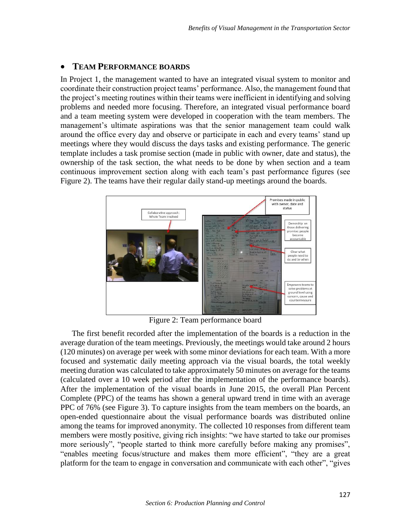#### **TEAM PERFORMANCE BOARDS**

In Project 1, the management wanted to have an integrated visual system to monitor and coordinate their construction project teams' performance. Also, the management found that the project's meeting routines within their teams were inefficient in identifying and solving problems and needed more focusing. Therefore, an integrated visual performance board and a team meeting system were developed in cooperation with the team members. The management's ultimate aspirations was that the senior management team could walk around the office every day and observe or participate in each and every teams' stand up meetings where they would discuss the days tasks and existing performance. The generic template includes a task promise section (made in public with owner, date and status), the ownership of the task section, the what needs to be done by when section and a team continuous improvement section along with each team's past performance figures (see Figure 2). The teams have their regular daily stand-up meetings around the boards.



Figure 2: Team performance board

The first benefit recorded after the implementation of the boards is a reduction in the average duration of the team meetings. Previously, the meetings would take around 2 hours (120 minutes) on average per week with some minor deviations for each team. With a more focused and systematic daily meeting approach via the visual boards, the total weekly meeting duration was calculated to take approximately 50 minutes on average for the teams (calculated over a 10 week period after the implementation of the performance boards). After the implementation of the visual boards in June 2015, the overall Plan Percent Complete (PPC) of the teams has shown a general upward trend in time with an average PPC of 76% (see Figure 3). To capture insights from the team members on the boards, an open-ended questionnaire about the visual performance boards was distributed online among the teams for improved anonymity. The collected 10 responses from different team members were mostly positive, giving rich insights: "we have started to take our promises more seriously", "people started to think more carefully before making any promises", "enables meeting focus/structure and makes them more efficient", "they are a great platform for the team to engage in conversation and communicate with each other", "gives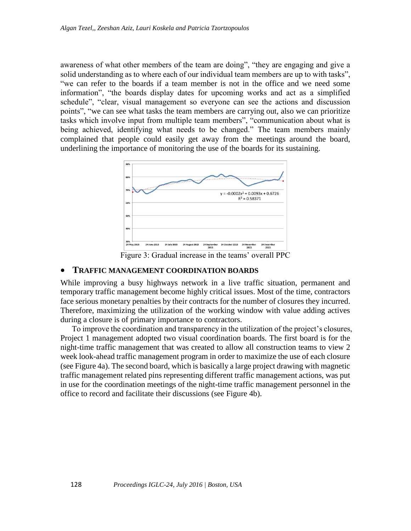awareness of what other members of the team are doing", "they are engaging and give a solid understanding as to where each of our individual team members are up to with tasks", "we can refer to the boards if a team member is not in the office and we need some information", "the boards display dates for upcoming works and act as a simplified schedule", "clear, visual management so everyone can see the actions and discussion points", "we can see what tasks the team members are carrying out, also we can prioritize tasks which involve input from multiple team members", "communication about what is being achieved, identifying what needs to be changed." The team members mainly complained that people could easily get away from the meetings around the board, underlining the importance of monitoring the use of the boards for its sustaining.



Figure 3: Gradual increase in the teams' overall PPC

#### **TRAFFIC MANAGEMENT COORDINATION BOARDS**

While improving a busy highways network in a live traffic situation, permanent and temporary traffic management become highly critical issues. Most of the time, contractors face serious monetary penalties by their contracts for the number of closures they incurred. Therefore, maximizing the utilization of the working window with value adding actives during a closure is of primary importance to contractors.

To improve the coordination and transparency in the utilization of the project's closures, Project 1 management adopted two visual coordination boards. The first board is for the night-time traffic management that was created to allow all construction teams to view 2 week look-ahead traffic management program in order to maximize the use of each closure (see Figure 4a). The second board, which is basically a large project drawing with magnetic traffic management related pins representing different traffic management actions, was put in use for the coordination meetings of the night-time traffic management personnel in the office to record and facilitate their discussions (see Figure 4b).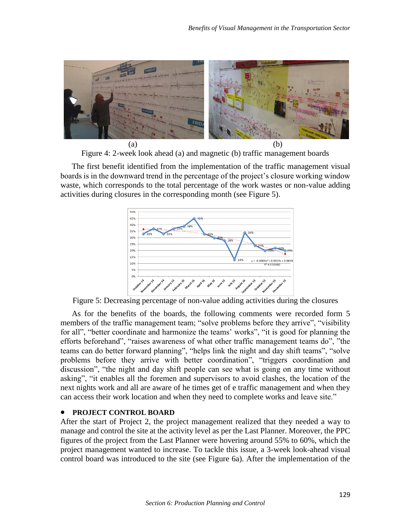

Figure 4: 2-week look ahead (a) and magnetic (b) traffic management boards

The first benefit identified from the implementation of the traffic management visual boards is in the downward trend in the percentage of the project's closure working window waste, which corresponds to the total percentage of the work wastes or non-value adding activities during closures in the corresponding month (see Figure 5).



Figure 5: Decreasing percentage of non-value adding activities during the closures

As for the benefits of the boards, the following comments were recorded form 5 members of the traffic management team; "solve problems before they arrive", "visibility for all", "better coordinate and harmonize the teams' works", "it is good for planning the efforts beforehand", "raises awareness of what other traffic management teams do", "the teams can do better forward planning", "helps link the night and day shift teams", "solve problems before they arrive with better coordination", "triggers coordination and discussion", "the night and day shift people can see what is going on any time without asking", "it enables all the foremen and supervisors to avoid clashes, the location of the next nights work and all are aware of he times get of e traffic management and when they can access their work location and when they need to complete works and leave site."

#### **PROJECT CONTROL BOARD**

After the start of Project 2, the project management realized that they needed a way to manage and control the site at the activity level as per the Last Planner. Moreover, the PPC figures of the project from the Last Planner were hovering around 55% to 60%, which the project management wanted to increase. To tackle this issue, a 3-week look-ahead visual control board was introduced to the site (see Figure 6a). After the implementation of the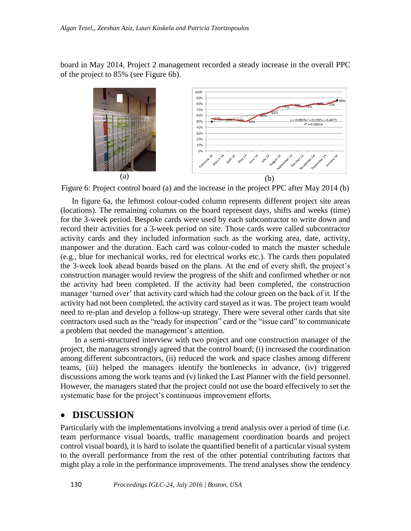board in May 2014, Project 2 management recorded a steady increase in the overall PPC of the project to 85% (see Figure 6b).



Figure 6: Project control board (a) and the increase in the project PPC after May 2014 (b)

In figure 6a, the leftmost colour-coded column represents different project site areas (locations). The remaining columns on the board represent days, shifts and weeks (time) for the 3-week period. Bespoke cards were used by each subcontractor to write down and record their activities for a 3-week period on site. Those cards were called subcontractor activity cards and they included information such as the working area, date, activity, manpower and the duration. Each card was colour-coded to match the master schedule (e.g., blue for mechanical works, red for electrical works etc.). The cards then populated the 3-week look ahead boards based on the plans. At the end of every shift, the project's construction manager would review the progress of the shift and confirmed whether or not the activity had been completed. If the activity had been completed, the construction manager 'turned over' that activity card which had the colour green on the back of it. If the activity had not been completed, the activity card stayed as it was. The project team would need to re-plan and develop a follow-up strategy. There were several other cards that site contractors used such as the "ready for inspection" card or the "issue card" to communicate a problem that needed the management's attention.

In a semi-structured interview with two project and one construction manager of the project, the managers strongly agreed that the control board; (i) increased the coordination among different subcontractors, (ii) reduced the work and space clashes among different teams, (iii) helped the managers identify the bottlenecks in advance, (iv) triggered discussions among the work teams and (v) linked the Last Planner with the field personnel. However, the managers stated that the project could not use the board effectively to set the systematic base for the project's continuous improvement efforts.

## **DISCUSSION**

Particularly with the implementations involving a trend analysis over a period of time (i.e. team performance visual boards, traffic management coordination boards and project control visual board), it is hard to isolate the quantified benefit of a particular visual system to the overall performance from the rest of the other potential contributing factors that might play a role in the performance improvements. The trend analyses show the tendency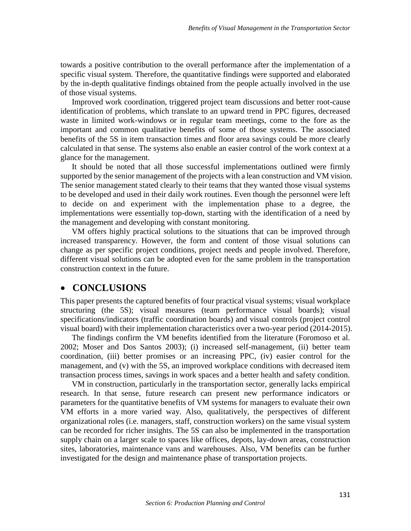towards a positive contribution to the overall performance after the implementation of a specific visual system. Therefore, the quantitative findings were supported and elaborated by the in-depth qualitative findings obtained from the people actually involved in the use of those visual systems.

Improved work coordination, triggered project team discussions and better root-cause identification of problems, which translate to an upward trend in PPC figures, decreased waste in limited work-windows or in regular team meetings, come to the fore as the important and common qualitative benefits of some of those systems. The associated benefits of the 5S in item transaction times and floor area savings could be more clearly calculated in that sense. The systems also enable an easier control of the work context at a glance for the management.

It should be noted that all those successful implementations outlined were firmly supported by the senior management of the projects with a lean construction and VM vision. The senior management stated clearly to their teams that they wanted those visual systems to be developed and used in their daily work routines. Even though the personnel were left to decide on and experiment with the implementation phase to a degree, the implementations were essentially top-down, starting with the identification of a need by the management and developing with constant monitoring.

VM offers highly practical solutions to the situations that can be improved through increased transparency. However, the form and content of those visual solutions can change as per specific project conditions, project needs and people involved. Therefore, different visual solutions can be adopted even for the same problem in the transportation construction context in the future.

#### **CONCLUSIONS**

This paper presents the captured benefits of four practical visual systems; visual workplace structuring (the 5S); visual measures (team performance visual boards); visual specifications/indicators (traffic coordination boards) and visual controls (project control visual board) with their implementation characteristics over a two-year period (2014-2015).

The findings confirm the VM benefits identified from the literature (Foromoso et al. 2002; Moser and Dos Santos 2003); (i) increased self-management, (ii) better team coordination, (iii) better promises or an increasing PPC, (iv) easier control for the management, and (v) with the 5S, an improved workplace conditions with decreased item transaction process times, savings in work spaces and a better health and safety condition.

VM in construction, particularly in the transportation sector, generally lacks empirical research. In that sense, future research can present new performance indicators or parameters for the quantitative benefits of VM systems for managers to evaluate their own VM efforts in a more varied way. Also, qualitatively, the perspectives of different organizational roles (i.e. managers, staff, construction workers) on the same visual system can be recorded for richer insights. The 5S can also be implemented in the transportation supply chain on a larger scale to spaces like offices, depots, lay-down areas, construction sites, laboratories, maintenance vans and warehouses. Also, VM benefits can be further investigated for the design and maintenance phase of transportation projects.